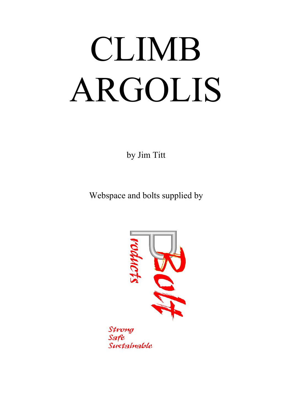# CLIMB ARGOLIS

by Jim Titt

Webspace and bolts supplied by



Strong Safe Sustainable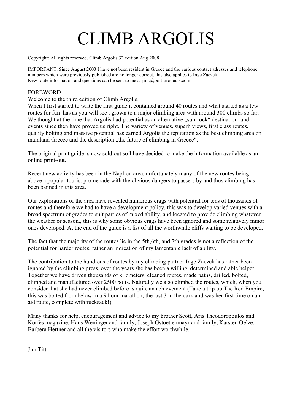# CLIMB ARGOLIS

Copyright: All rights reserved, Climb Argolis 3<sup>rd</sup> edition Aug 2008

IMPORTANT. Since August 2003 I have not been resident in Greece and the various contact adresses and telephone numbers which were previously published are no longer correct, this also applies to Inge Zaczek. New route information and questions can be sent to me at jim.@bolt-products.com

### **FOREWORD.**

Welcome to the third edition of Climb Argolis.

When I first started to write the first guide it contained around 40 routes and what started as a few routes for fun has as you will see , grown to a major climbing area with around 300 climbs so far. We thought at the time that Argolis had potential as an alternative "sun-rock" destination and events since then have proved us right. The variety of venues, superb views, first class routes, quality bolting and massive potential has earned Argolis the reputation as the best climbing area on mainland Greece and the description "the future of climbing in Greece".

The original print guide is now sold out so I have decided to make the information available as an online print-out.

Recent new activity has been in the Naplion area, unfortunately many of the new routes being above a popular tourist promenade with the obvious dangers to passers by and thus climbing has been banned in this area.

Our explorations of the area have revealed numerous crags with potential for tens of thousands of routes and therefore we had to have a development policy, this was to develop varied venues with a broad spectrum of grades to suit parties of mixed ability, and located to provide climbing whatever the weather or season., this is why some obvious crags have been ignored and some relatively minor ones developed. At the end of the guide is a list of all the worthwhile cliffs waiting to be developed.

The fact that the majority of the routes lie in the 5th,6th, and 7th grades is not a reflection of the potential for harder routes, rather an indication of my lamentable lack of ability.

The contribution to the hundreds of routes by my climbing partner Inge Zaczek has rather been ignored by the climbing press, over the years she has been a willing, determined and able helper. Together we have driven thousands of kilometers, cleaned routes, made paths, drilled, bolted, climbed and manufactured over 2500 bolts. Naturally we also climbed the routes, which, when you consider that she had never climbed before is quite an achievement (Take a trip up The Red Empire, this was bolted from below in a 9 hour marathon, the last 3 in the dark and was her first time on an aid route, complete with rucksack!).

Many thanks for help, encouragement and advice to my brother Scott, Aris Theodoropoulos and Korfes magazine, Hans Weninger and family, Joseph Gstoettenmayr and family, Karsten Oelze, Barbera Hertner and all the visitors who make the effort worthwhile.

Jim Titt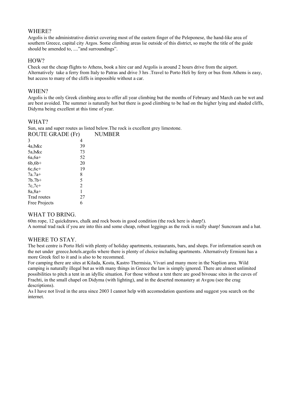#### WHERE?

Argolis is the administrative district covering most of the eastern finger of the Peleponese, the hand-like area of southern Greece, capital city Argos. Some climbing areas lie outside of this district, so maybe the title of the guide should be amended to, ...."and surroundings".

### HOW?

Check out the cheap flights to Athens, book a hire car and Argolis is around 2 hours drive from the airport. Alternatively take a ferry from Italy to Patras and drive 3 hrs .Travel to Porto Heli by ferry or bus from Athens is easy, but access to many of the cliffs is impossible without a car.

### WHEN?

Argolis is the only Greek climbing area to offer all year climbing but the months of February and March can be wet and are best avoided. The summer is naturally hot but there is good climbing to be had on the higher lying and shaded cliffs, Didyma being excellent at this time of year.

### WHAT?

Sun, sea and super routes as listed below.The rock is excellent grey limestone. ROUTE GRADE (Fr) NUMBER

| <b>NUUTE UNADE (FI)</b> |    | INUIVIDE |
|-------------------------|----|----------|
| 3                       | 4  |          |
| $4a$ , b&c              | 39 |          |
| 5a, b&c                 | 73 |          |
| $6a, 6a+$               | 52 |          |
| $6b, 6b+$               | 20 |          |
| $6c, 6c+$               | 19 |          |
| $7a.7a+$                | 8  |          |
| $7b.7b+$                | 5  |          |
| $7c,7c+$                | 2  |          |
| $8a, 8a+$               | 1  |          |
| Trad routes             | 27 |          |
| Free Projects           | 6  |          |

### WHAT TO BRING.

60m rope, 12 quickdraws, chalk and rock boots in good condition (the rock here is sharp!).

A normal trad rack if you are into this and some cheap, robust leggings as the rock is really sharp! Suncream and a hat.

### WHERE TO STAY.

The best centre is Porto Heli with plenty of holiday apartments, restaurants, bars, and shops. For information search on the net under greece.hotels.argolis where there is plenty of choice including apartments. Alternatively Ermioni has a more Greek feel to it and is also to be recommed.

For camping there are sites at Kilada, Kosta, Kastro Thermisia, Vivari and many more in the Naplion area. Wild camping is naturally illegal but as with many things in Greece the law is simply ignored. There are almost unlimited possibilities to pitch a tent in an idyllic situation. For those without a tent there are good bivouac sites in the caves of Frachti, in the small chapel on Didyma (with lighting), and in the deserted monastery at Avgou (see the crag descriptions).

As I have not lived in the area since 2003 I cannot help with accomodation questions and suggest you search on the internet.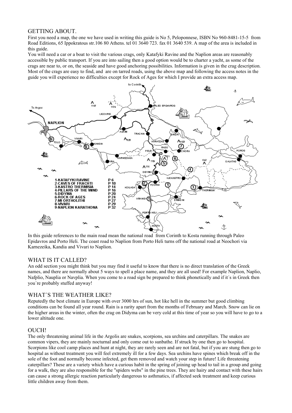### GETTING ABOUT.

First you need a map, the one we have used in writing this guide is No 5, Peloponnese, ISBN No 960-8481-15-5 from Road Editions, 65 Ippokratous str.106 80 Athens. tel 01 3640 723. fax 01 3640 539. A map of the area is included in this guide.

You will need a car or a boat to visit the various crags, only Katafyki Ravine and the Naplion areas are reasonably accessible by public transport. If you are into sailing then a good option would be to charter a yacht, as some of the crags are near to, or on, the seaside and have good anchoring possibilities. Information is given in the crag description. Most of the crags are easy to find, and are on tarred roads, using the above map and following the access notes in the guide you will experience no difficulties except for Rock of Ages for which I provide an extra access map.



In this guide references to the main road mean the national road from Corinth to Kosta running through Paleo Epidavros and Porto Heli. The coast road to Naplion from Porto Heli turns off the national road at Neochori via Karnezeika, Kandia and Vivari to Naplion.

### WHAT IS IT CALLED?

An odd section you might think but you may find it useful to know that there is no direct translation of the Greek names, and there are normally about 5 ways to spell a place name, and they are all used! For example Naplion, Naplio, Nafplio, Nauplia or Navplia. When you come to a road sign be prepared to think phonetically and if it´s in Greek then you´re probably stuffed anyway!

### WHAT´S THE WEATHER LIKE?

Reputedly the best climate in Europe with over 3000 hrs of sun, hot like hell in the summer but good climbing conditions can be found all year round. Rain is a rarity apart from the months of February and March. Snow can lie on the higher areas in the winter, often the crag on Didyma can be very cold at this time of year so you will have to go to a lower altitude one.

### OUCH!

The only threatening animal life in the Argolis are snakes, scorpions, sea urchins and caterpillars. The snakes are common vipers, they are mainly nocturnal and only come out to sunbathe. If struck by one then go to hospital. Scorpions like cool camp places and hunt at night, they are rarely seen and are not fatal, but if you are stung then go to hospital as without treatment you will feel extremely ill for a few days. Sea urchins have spines which break off in the sole of the foot and normally become infected, get them removed and watch your step in future! Life threatening caterpillars? These are a variety which have a curious habit in the spring of joining up head to tail in a group and going for a walk, they are also responsible for the "spiders webs" in the pine trees. They are hairy and contact with these hairs can cause a strong allergic reaction particularly dangerous to asthmatics, if affected seek treatment and keep curious little children away from them.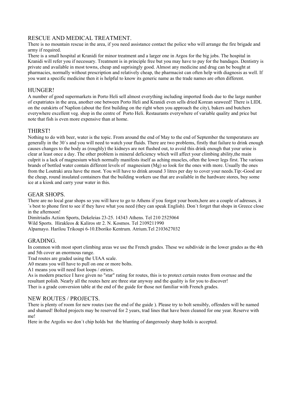### RESCUE AND MEDICAL TREATMENT.

There is no mountain rescue in the area, if you need assistance contact the police who will arrange the fire brigade and army if required.

There is a small hospital at Kranidi for minor treatment and a larger one in Argos for the big jobs. The hospital in Kranidi will refer you if necessary. Treatment is in principle free but you may have to pay for the bandages. Dentistry is private and available in most towns, cheap and suprisingly good. Almost any medicine and drug can be bought at pharmacies, normally without prescription and relatively cheap, the pharmacist can often help with diagnosis as well. If you want a specific medicine then it is helpful to know its generic name as the trade names are often different.

### HUNGER!

A number of good supermarkets in Porto Heli sell almost everything including imported foods due to the large number of expatriates in the area, another one between Porto Heli and Kranidi even sells dried Korean seaweed! There is LIDL on the outskirts of Naplion (about the first building on the right when you approach the city), bakers and butchers everywhere excellent veg. shop in the centre of Porto Heli. Restaurants everywhere of variable quality and price but note that fish is even more expensive than at home.

### THIRST!

Nothing to do with beer, water is the topic. From around the end of May to the end of September the temperatures are generally in the 30´s and you will need to watch your fluids. There are two problems, firstly that failure to drink enough causes changes to the body as (roughly) the kidneys are not flushed out, to avoid this drink enough that your urine is clear at least once a day. The other problem is mineral deficiency which will affect your climbing ability,the main culprit is a lack of magnesium which normally manifests itself as aching muscles, often the lower legs first. The various brands of bottled water contain different levels of magnesium (Mg) so look for the ones with more. Usually the ones from the Loutraki area have the most. You will have to drink around 3 litres per day to cover your needs.Tip:-Good are the cheap, round insulated containers that the building workers use that are available in the hardware stores, buy some ice at a kiosk and carry your water in this.

### GEAR SHOPS.

There are no local gear shops so you will have to go to Athens if you forgot your boots,here are a couple of adresses, it ´s best to phone first to see if they have what you need (they can speak English). Don´t forget that shops in Greece close in the afternoon!

Dimitriadis Action Sports, Dekeleias 23-25. 14343 Athens. Tel 210 2525064 Wild Sports. Hirakleos & Kaliros str 2. N. Kosmos. Tel 2109211990 Alpamayo. Harilou Trikoupi 6-10.Eboriko Kentrum. Atrium.Tel 2103627032

### GRADING.

In common with most sport climbing areas we use the French grades. These we subdivide in the lower grades as the 4th and 5th cover an enormous range.

Trad routes are graded using the UIAA scale.

A0 means you will have to pull on one or more bolts.

A1 means you will need foot loops / etriers.

As is modern practice I have given no "star" rating for routes, this is to protect certain routes from overuse and the resultant polish. Nearly all the routes here are three star anyway and the quality is for you to discover! Ther is a grade conversion table at the end of the guide for those not familiar with French grades.

### NEW ROUTES / PROJECTS.

There is plenty of room for new routes (see the end of the guide ). Please try to bolt sensibly, offenders will be named and shamed! Bolted projects may be reserved for 2 years, trad lines that have been cleaned for one year. Reserve with me!

Here in the Argolis we don´t chip holds but the blunting of dangerously sharp holds is accepted.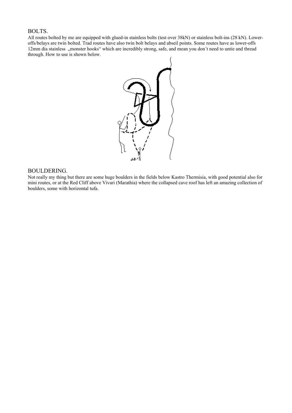### BOLTS.

All routes bolted by me are equipped with glued-in stainless bolts (test over 38kN) or stainless bolt-ins (28 kN). Loweroffs/belays are twin bolted. Trad routes have also twin bolt belays and abseil points. Some routes have as lower-offs 12mm dia stainless "monster hooks" which are incredibly strong, safe, and mean you don't need to untie and thread through. How to use is shown below.



### BOULDERING.

Not really my thing but there are some huge boulders in the fields below Kastro Thermisia, with good potential also for mini routes, or at the Red Cliff above Vivari (Marathia) where the collapsed cave roof has left an amazing collection of boulders, some with horizontal tufa.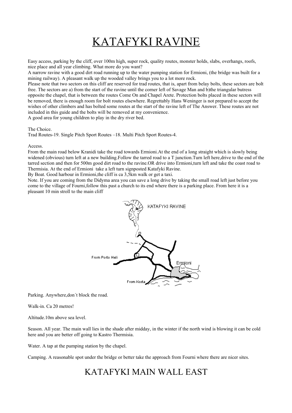# KATAFYKI RAVINE

Easy access, parking by the cliff, over 100m high, super rock, quality routes, monster holds, slabs, overhangs, roofs, nice place and all year climbing. What more do you want?

A narrow ravine with a good dirt road running up to the water pumping station for Ermioni, (the bridge was built for a mining railway). A pleasant walk up the wooded valley brings you to a lot more rock.

Please note that two sectors on this cliff are reserved for trad routes, that is, apart from belay bolts, these sectors are bolt free. The sectors are a) from the start of the ravine until the corner left of Savage Man and b)the triangular butress opposite the chapel, that is between the routes Come On and Chapel Arete. Protection bolts placed in these sectors will be removed, there is enough room for bolt routes elsewhere. Regrettably Hans Weninger is not prepared to accept the wishes of other climbers and has bolted some routes at the start of the ravine left of The Answer. These routes are not included in this guide and the bolts will be removed at my convenience. A good area for young children to play in the dry river bed.

The Choice.

Trad Routes-19. Single Pitch Sport Routes –18. Multi Pitch Sport Routes-4.

#### Access.

From the main road below Kranidi take the road towards Ermioni.At the end of a long straight which is slowly being widened (obvious) turn left at a new building. Follow the tarred road to a T junction. Turn left here, drive to the end of the tarred section and then for 500m good dirt road to the ravine.OR drive into Ermioni,turn left and take the coast road to Thermisia. At the end of Ermioni take a left turn signposted Katafyki Ravine.

By Boat. Good harbour in Ermioni,the cliff is ca 3,5km walk or get a taxi.

Note. If you are coming from the Didyma area you can save a long drive by taking the small road left just before you come to the village of Fourni,follow this past a church to its end where there is a parking place. From here it is a pleasant 10 min stroll to the main cliff



Parking. Anywhere,don´t block the road.

Walk-in. Ca 20 metres!

Altitude.10m above sea level.

Season. All year. The main wall lies in the shade after midday, in the winter if the north wind is blowing it can be cold here and you are better off going to Kastro Thermisia.

Water. A tap at the pumping station by the chapel.

Camping. A reasonable spot under the bridge or better take the approach from Fourni where there are nicer sites.

### KATAFYKI MAIN WALL EAST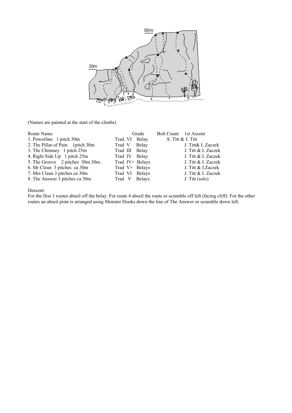

(Names are painted at the start of the climbs)

| Route Name                        |                 | Grade         | Bolt Count 1st Ascent |
|-----------------------------------|-----------------|---------------|-----------------------|
| 1. Powerline 1 pitch 30m          | Trad. VI Belay  |               | S. Titt $&J.$ Titt    |
| 2. The Pillar of Pain 1 pitch 30m | Trad V Belay    |               | J. Titt& I. Zaczek    |
| 3. The Chimney 1 pitch 25m        | Trad III Belay  |               | J. Titt & I. Zaczek   |
| 4. Right Side Up 1 pitch 25m      | Trad IV Belay   |               | J. Titt & I. Zaczek   |
| 5. The Groove 2 pitches 30m.30m.  | Trad IV+ Belays |               | J. Titt & I. Zaczek   |
| 6. Mr Clean 3 pitches ca 30m      | Trad V+ Belays  |               | J. Titt & I.Zaczek    |
| 7. Mrs Clean 3 pitches ca 30m     | Trad VI Belays  |               | J. Titt & I. Zaczek   |
| 8. The Answer 3 pitches ca 30m    | Trad V          | <b>Belays</b> | J. Titt (solo)        |

Descent:

For the first 3 routes abseil off the belay. For route 4 abseil the route or scramble off left (facing cliff). For the other routes an abseil piste is arranged using Monster Hooks down the line of The Answer or scramble down left.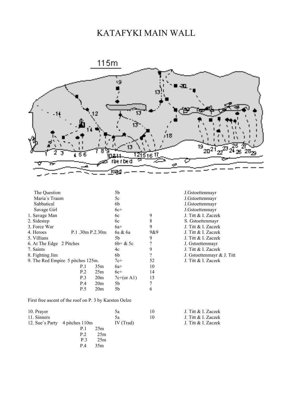# KATAFYKI MAIN WALL



| The Question                      |                 |                 | 5b           |                          |                            |
|-----------------------------------|-----------------|-----------------|--------------|--------------------------|----------------------------|
|                                   |                 |                 |              |                          | J.Gstoettenmayr            |
| Maria's Traum                     |                 |                 | 5c           |                          | J.Gstoettenmayr            |
| Sabbatical                        |                 |                 | 6b           |                          | J.Gstoettenmayr            |
| Savage Girl                       |                 |                 | $6c+$        |                          | J.Gstoettenmayr            |
| 1. Savage Man                     |                 |                 | 6c           | 9                        | J. Titt & I. Zaczek        |
| 2. Sidestep                       |                 |                 | 6c           | 8                        | S. Gstoettenmayr           |
| 3. Force War                      |                 |                 | $6a+$        | 9                        | J. Titt & I. Zaczek        |
| 4. Heroes                         | P.1.30m P.2.30m |                 | 6a & 6a      | 9&9                      | J. Titt & I. Zaczek        |
| 5. Villians                       |                 |                 | 5b           | 9                        | J. Titt & I. Zaczek        |
| 6. At The Edge 2 Pitches          |                 |                 | $6b + \& 5c$ | ?                        | J. Gstoettenmayr           |
| 7. Saints                         |                 |                 | 4c           | 9                        | J. Titt & I. Zaczek        |
| 8. Fighting Jim                   |                 |                 | 6b           | $\overline{\mathcal{L}}$ | J. Gstoettenmayr & J. Titt |
| 9. The Red Empire 5 pitches 125m. |                 |                 | $7c+$        | 52                       | J. Titt & I. Zaczek        |
|                                   | P.1             | 35m             | $6a+$        | 10                       |                            |
|                                   | P.2             | 25m             | $6c+$        | 14                       |                            |
|                                   | P.3             | 20 <sub>m</sub> | $7c+(or A1)$ | 15                       |                            |
|                                   | P.4             | 20 <sub>m</sub> | 5b           | 7                        |                            |
|                                   | P.5             | 20 <sub>m</sub> | 5b           | 6                        |                            |
|                                   |                 |                 |              |                          |                            |

First free ascent of the roof on P. 3 by Karsten Oelze

|     |     | 5a                             | 10 | J. Titt & I. Zaczek |
|-----|-----|--------------------------------|----|---------------------|
|     |     | 5a                             | 10 | J. Titt & I. Zaczek |
|     |     | IV (Trad)                      |    | J. Titt & I. Zaczek |
| P.1 | 25m |                                |    |                     |
| P.2 | 25m |                                |    |                     |
| P.3 | 25m |                                |    |                     |
| P 4 | 35m |                                |    |                     |
|     |     | 12. Sue's Party 4 pitches 110m |    |                     |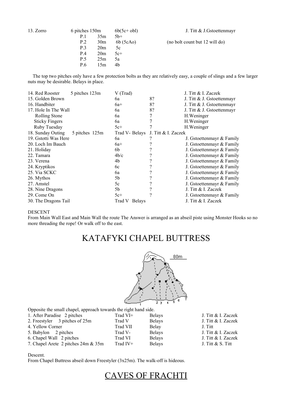| 13. Zorro | 6 pitches 150m |                 | $6b(5c+obj)$ | J. Titt & J. Gstoettenmayr     |
|-----------|----------------|-----------------|--------------|--------------------------------|
|           | P.1            | 35m             | $5b+$        |                                |
|           | P.2            | 30 <sub>m</sub> | 6b (5cAo)    | (no bolt count but 12 will do) |
|           | P.3            | 20m             | 5c           |                                |
|           | P.4            | 20 <sub>m</sub> | $5c+$        |                                |
|           | P.5            | 25m             | 5a           |                                |
|           | P.6            | 15m             | 4b           |                                |

 The top two pitches only have a few protection bolts as they are relatively easy, a couple of slings and a few larger nuts may be desirable. Belays in place.

| 5 pitches 123m | V (Trad)                                                             |                     | J. Titt & I. Zaczek          |
|----------------|----------------------------------------------------------------------|---------------------|------------------------------|
|                | 6a                                                                   | 8?                  | J. Titt & J. Gstoettenmayr   |
|                | $6a+$                                                                | 8?                  | J. Titt & J. Gstoettenmayr   |
|                | 6a                                                                   | 8?                  | J. Titt $&$ J. Gstoettenmayr |
|                | 6a                                                                   | 7                   | H. Weninger                  |
|                | 6a                                                                   |                     | H. Weninger                  |
|                | $5c+$                                                                |                     | H. Weninger                  |
| 5 pitches 125m | Trad V- Belays                                                       | J. Titt & I. Zaczek |                              |
|                | 6a                                                                   |                     | J. Gstoettenmayr & Family    |
|                | $6a+$                                                                |                     | J. Gstoettenmayr & Family    |
|                | 6b                                                                   |                     | J. Gstoettenmayr & Family    |
|                | 4b/c                                                                 |                     | J. Gstoettenmayr & Family    |
|                | 4b                                                                   |                     | J. Gstoettenmayr & Family    |
|                | 6c                                                                   |                     | J. Gstoettenmayr & Family    |
|                | 6a                                                                   |                     | J. Gstoettenmayr & Family    |
|                | 5b                                                                   |                     | J. Gstoettenmayr & Family    |
|                | 5c                                                                   |                     | J. Gstoettenmayr & Family    |
|                | 5b                                                                   |                     | J. Titt & I. Zaczek          |
|                | $5c+$                                                                |                     | J. Gstoettenmayr & Family    |
|                | Belays<br>Trad V                                                     |                     | J. Titt & I. Zaczek          |
|                | 17. Hole In The Wall<br>19. Gstotti Was Here<br>30. The Dragons Tail |                     |                              |

#### DESCENT

From Main Wall East and Main Wall the route The Answer is arranged as an abseil piste using Monster Hooks so no more threading the rope! Or walk off to the east.

### KATAFYKI CHAPEL BUTTRESS



Opposite the small chapel, approach towards the right hand side.

| 1. After Paradise 2 pitches         | Trad VI+   | <b>Belays</b> | J. Titt & I. Zaczek |
|-------------------------------------|------------|---------------|---------------------|
| 2. Freestyler 3 pitches of 25m      | Trad V     | <b>Belays</b> | J. Titt & I. Zaczek |
| 4. Yellow Corner                    | Trad VII   | Belay         | J. Titt             |
| 5. Babylon 2 pitches                | Trad V-    | <b>Belays</b> | J. Titt & I. Zaczek |
| 6. Chapel Wall 2 pitches            | Trad VI    | <b>Belays</b> | J. Titt & I. Zaczek |
| 7. Chapel Arete 2 pitches 24m & 35m | Trad $IV+$ | <b>Belays</b> | J. Titt $& S.$ Titt |
|                                     |            |               |                     |

#### Descent.

From Chapel Buttress abseil down Freestyler (3x25m). The walk-off is hideous.

### CAVES OF FRACHTI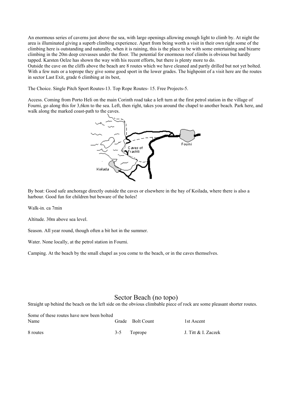An enormous series of caverns just above the sea, with large openings allowing enough light to climb by. At night the area is illuminated giving a superb climbing experience. Apart from being worth a visit in their own right some of the climbing here is outstanding and naturally, when it is raining, this is the place to be with some entertaining and bizarre climbing in the 20m deep crevasses under the floor. The potential for enormous roof climbs is obvious but hardly tapped. Karsten Oelze has shown the way with his recent efforts, but there is plenty more to do.

Outside the cave on the cliffs above the beach are 8 routes which we have cleaned and partly drilled but not yet bolted. With a few nuts or a toprope they give some good sport in the lower grades. The highpoint of a visit here are the routes in sector Last Exit, grade 6 climbing at its best,

The Choice. Single Pitch Sport Routes-13. Top Rope Routes- 15. Free Projects-5.

Access. Coming from Porto Heli on the main Corinth road take a left turn at the first petrol station in the village of Fourni, go along this for 3,6km to the sea. Left, then right, takes you around the chapel to another beach. Park here, and walk along the marked coast-path to the caves.



By boat: Good safe anchorage directly outside the caves or elsewhere in the bay of Koilada, where there is also a harbour. Good fun for children but beware of the holes!

Walk-in. ca 7min

Altitude. 30m above sea level.

Season. All year round, though often a bit hot in the summer.

Water. None locally, at the petrol station in Fourni.

Camping. At the beach by the small chapel as you come to the beach, or in the caves themselves.

### Sector Beach (no topo)

Straight up behind the beach on the left side on the obvious climbable piece of rock are some pleasant shorter routes.

| Some of these routes have now been bolted |                  |                     |
|-------------------------------------------|------------------|---------------------|
| Name                                      | Grade Bolt Count | 1st Ascent          |
| 8 routes                                  | 3-5 Toprope      | J. Titt & I. Zaczek |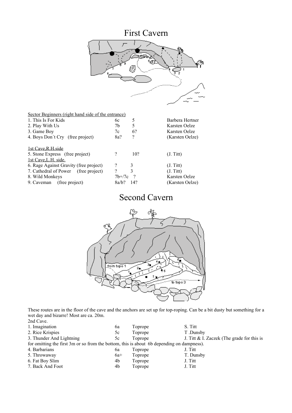# First Cavern



| 6с       | 5                                                  | Barbera Hertner |
|----------|----------------------------------------------------|-----------------|
| 7b       | 5                                                  | Karsten Oelze   |
| 7c       | 6?                                                 | Karsten Oelze   |
| 8a?      | $\gamma$                                           | (Karsten Oelze) |
|          |                                                    |                 |
| ?        | 10?                                                | (J. Titt)       |
|          |                                                    |                 |
| $\gamma$ | 3                                                  | (J. Titt)       |
| ?        | 3                                                  | (J. Titt)       |
| $7b+7c$  | $\gamma$                                           | Karsten Oelze   |
| 8a/h?    | 14?                                                | (Karsten Oelze) |
|          | Sector Beginners (right hand side of the entrance) |                 |

### Second Cavern



These routes are in the floor of the cave and the anchors are set up for top-roping. Can be a bit dusty but something for a wet day and bizarre! Most are ca. 20m.

| 2nd Cave.                                                                                 |       |         |                                            |
|-------------------------------------------------------------------------------------------|-------|---------|--------------------------------------------|
| 1. Imagination                                                                            | 6a    | Toprope | S. Titt                                    |
| 2. Rice Krispies                                                                          | 5c    | Toprope | T.Dunsby                                   |
| 3. Thunder And Lightning                                                                  | 5c    | Toprope | J. Titt & I. Zaczek (The grade for this is |
| for omitting the first 3m or so from the bottom, this is about 6b depending on dampness). |       |         |                                            |
| 4. Barbarians                                                                             | 6a    | Toprope | J. Titt                                    |
| 5. Throwaway                                                                              | $6a+$ | Toprope | T. Dunsby                                  |
| 6. Fat Boy Slim                                                                           | 4b    | Toprope | J. Titt                                    |
| 7. Back And Foot                                                                          | 4b    | Toprope | J. Titt                                    |
|                                                                                           |       |         |                                            |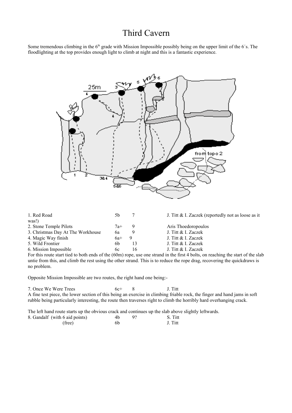### Third Cavern

Some tremendous climbing in the  $6<sup>th</sup>$  grade with Mission Impossible possibly being on the upper limit of the 6's. The floodlighting at the top provides enough light to climb at night and this is a fantastic experience.



| 1. Red Road                       | .5b   |    | J. Titt & I. Zaczek (reportedly not as loose as it |
|-----------------------------------|-------|----|----------------------------------------------------|
| was!)                             |       |    |                                                    |
| 2. Stone Temple Pilots            | $7a+$ | 9  | Aris Thoedoropoulos                                |
| 3. Christmas Day At The Workhouse | bа    |    | J. Titt & I. Zaczek                                |
| 4. Magic Way finish               | $6a+$ |    | J. Titt & I. Zaczek                                |
| 5. Wild Frontier                  | 6b    | 13 | J. Titt & I. Zaczek                                |
| 6. Mission Impossible             | 6c    | 16 | J. Titt & I. Zaczek                                |
|                                   |       |    | .                                                  |

For this route start tied to both ends of the (60m) rope, use one strand in the first 4 bolts, on reaching the start of the slab untie from this, and climb the rest using the other strand. This is to reduce the rope drag, recovering the quickdraws is no problem.

Opposite Mission Impossible are two routes, the right hand one being:-

7. Once We Were Trees 6c+ 8 J. Titt A fine test piece, the lower section of this being an exercise in climbing friable rock, the finger and hand jams in soft rubble being particularly interesting, the route then traverses right to climb the horribly hard overhanging crack.

The left hand route starts up the obvious crack and continues up the slab above slightly leftwards. 8. Gandalf (with 6 aid points) 4b 9? S. Titt (free) 6b J. Titt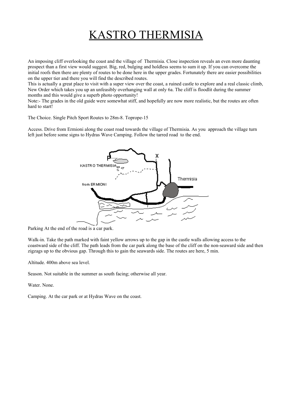# KASTRO THERMISIA

An imposing cliff overlooking the coast and the village of Thermisia. Close inspection reveals an even more daunting prospect than a first view would suggest. Big, red, bulging and holdless seems to sum it up. If you can overcome the initial roofs then there are plenty of routes to be done here in the upper grades. Fortunately there are easier possibilities on the upper tier and there you will find the described routes.

This is actually a great place to visit with a super view over the coast, a ruined castle to explore and a real classic climb, New Order which takes you up an unfeasibly overhanging wall at only 6a. The cliff is floodlit during the summer months and this would give a superb photo opportunity!

Note:- The grades in the old guide were somewhat stiff, and hopefully are now more realistic, but the routes are often hard to start!

The Choice. Single Pitch Sport Routes to 28m-8. Toprope-15

Access. Drive from Ermioni along the coast road towards the village of Thermisia. As you approach the village turn left just before some signs to Hydras Wave Camping. Follow the tarred road to the end.



Parking At the end of the road is a car park.

Walk-in. Take the path marked with faint yellow arrows up to the gap in the castle walls allowing access to the coastward side of the cliff. The path leads from the car park along the base of the cliff on the non-seaward side and then zigzags up to the obvious gap. Through this to gain the seawards side. The routes are here, 5 min.

Altitude. 400m above sea level.

Season. Not suitable in the summer as south facing; otherwise all year.

Water. None.

Camping. At the car park or at Hydras Wave on the coast.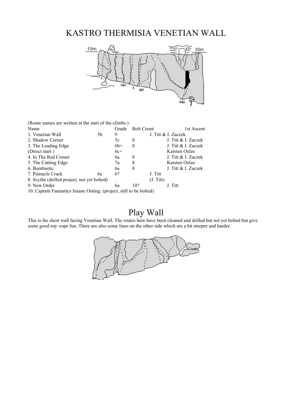### KASTRO THERMISIA VENETIAN WALL



(Route names are written at the start of the climbs.)

| Name                                        |    | Grade | <b>Bolt Count</b> |           | 1st Ascent          |
|---------------------------------------------|----|-------|-------------------|-----------|---------------------|
| 1. Venetian Wall                            | 5b | 9     |                   |           | J. Titt & I. Zaczek |
| 2. Shadow Corner                            |    | 5c    | 8                 |           | J. Titt & I. Zaczek |
| 3. The Leading Edge                         |    | $6b+$ | 8                 |           | J. Titt & I. Zaczek |
| (Direct start)                              |    | $6c+$ |                   |           | Karsten Oelze       |
| 4. In The Red Corner                        |    | 6а    | 8                 |           | J. Titt & I. Zaczek |
| 5. The Cutting Edge                         |    | 7a    | 8                 |           | Karsten Oelze       |
| 6. Bombastic                                |    | 6а    | 8                 |           | J. Titt & I. Zaczek |
| 7. Pinnacle Crack                           | 6а | 6?    |                   | J. Titt   |                     |
| 8. Scythe (drilled project, not yet bolted) |    |       |                   | (J. Titt) |                     |
| 9. New Order                                |    | 6а    | 10?               |           | J. Titt             |
|                                             |    |       |                   |           |                     |

10. Captain Fantastics Insane Outing. (project, still to be bolted)

### Play Wall

This is the short wall facing Venetian Wall. The routes here have been cleaned and drilled but not yet bolted but give some good top -rope fun. There are also some lines on the other side which are a bit steeper and harder.

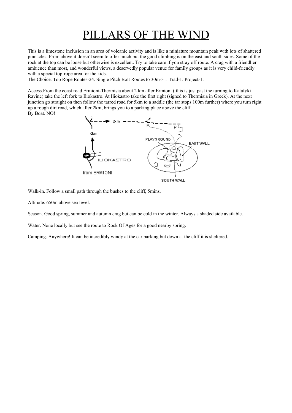# PILLARS OF THE WIND

This is a limestone inclüsion in an area of volcanic activity and is like a miniature mountain peak with lots of shattered pinnacles. From above it doesn´t seem to offer much but the good climbing is on the east and south sides. Some of the rock at the top can be loose but otherwise is excellent. Try to take care if you stray off route. A crag with a friendlier ambience than most, and wonderful views, a deservedly popular venue for family groups as it is very child-friendly with a special top-rope area for the kids.

The Choice. Top Rope Routes-24. Single Pitch Bolt Routes to 30m-31. Trad-1. Project-1.

Access.From the coast road Ermioni-Thermisia about 2 km after Ermioni ( this is just past the turning to Katafyki Ravine) take the left fork to Iliokastro. At Iliokastro take the first right (signed to Thermisia in Greek). At the next junction go straight on then follow the tarred road for 5km to a saddle (the tar stops 100m further) where you turn right up a rough dirt road, which after 2km, brings you to a parking place above the cliff. By Boat. NO!



Walk-in. Follow a small path through the bushes to the cliff, 5mins.

Altitude. 650m above sea level.

Season. Good spring, summer and autumn crag but can be cold in the winter. Always a shaded side available.

Water. None locally but see the route to Rock Of Ages for a good nearby spring.

Camping. Anywhere! It can be incredibly windy at the car parking but down at the cliff it is sheltered.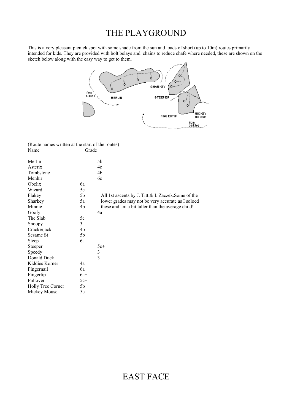### THE PLAYGROUND

This is a very pleasant picnick spot with some shade from the sun and loads of short (up to 10m) routes primarily intended for kids. They are provided with bolt belays and chains to reduce chafe where needed, these are shown on the sketch below along with the easy way to get to them.



(Route names written at the start of the routes) Name Grade

| Merlin            |       | 5b                                                 |
|-------------------|-------|----------------------------------------------------|
| Asterix           |       | 4c                                                 |
| Tombstone         |       | 4b                                                 |
| Menhir            |       | 6c                                                 |
| Obelix            | 6a    |                                                    |
| Wizard            | 5c    |                                                    |
| Flakey            | 5b    | All 1st ascents by J. Titt & I. Zaczek.Some of the |
| Sharkey           | $5a+$ | lower grades may not be very accurate as I soloed  |
| Minnie            | 4b    | these and am a bit taller than the average child!  |
| Goofy             |       | 4a                                                 |
| The Slab          | 5c    |                                                    |
| Snoopy            | 3     |                                                    |
| Crackerjack       | 4b    |                                                    |
| Sesame St         | 5b    |                                                    |
| <b>Steep</b>      | 6a    |                                                    |
| Steeper           |       | $5c+$                                              |
| Speedy            |       | $\mathfrak{Z}$                                     |
| Donald Duck       |       | $\overline{3}$                                     |
| Kiddies Korner    | 4a    |                                                    |
| Fingernail        | 6a    |                                                    |
| Fingertip         | $6a+$ |                                                    |
| Pullover          | $5c+$ |                                                    |
| Holly Tree Corner | 5b    |                                                    |
| Mickey Mouse      | 5c    |                                                    |
|                   |       |                                                    |

# EAST FACE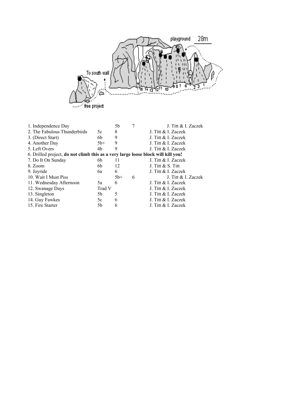

| 1. Independence Day                                                              |        | 5b    |   | J. Titt & I. Zaczek |
|----------------------------------------------------------------------------------|--------|-------|---|---------------------|
| 2. The Fabulous Thunderbirds                                                     | 5c     | 8     |   | J. Titt & I. Zaczek |
| 3. (Direct Start)                                                                | 6b     | 9     |   | J. Titt & I. Zaczek |
| 4. Another Day                                                                   | $5b+$  | 9     |   | J. Titt & I. Zaczek |
| 5. Left Overs                                                                    | 4b     | 9     |   | J. Titt & I. Zaczek |
| 6. Drilled project, do not climb this as a very large loose block will kill you! |        |       |   |                     |
| 7. Do It On Sunday                                                               | 6b     | $\pm$ |   | J. Titt & I. Zaczek |
| 8. Zoom                                                                          | 6b     | 12    |   | J. Titt $& S.$ Titt |
| 9. Joyride                                                                       | 6а     | 6     |   | J. Titt & I. Zaczek |
| 10. Wait I Must Piss                                                             |        | $5b+$ | 6 | J. Titt & I. Zaczek |
| 11. Wednesday Afternoon                                                          | 5a     | 6     |   | J. Titt & I. Zaczek |
| 12. Swanage Days                                                                 | Trad V |       |   | J. Titt & I. Zaczek |
| 13. Singleton                                                                    | 5b     | 5     |   | J. Titt & I. Zaczek |
| 14. Guy Fawkes                                                                   | 5c     | 6     |   | J. Titt & I. Zaczek |
| 15. Fire Starter                                                                 | 5b     | 6     |   | J. Titt & I. Zaczek |
|                                                                                  |        |       |   |                     |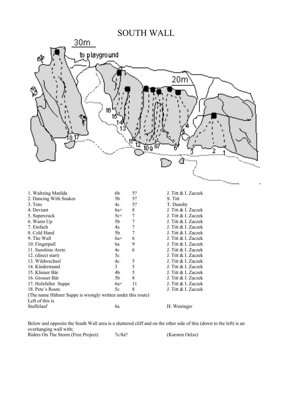### SOUTH WALL



Below and opposite the South Wall area is a shattered cliff and on the other side of this (down to the left) is an overhanging wall with; Riders On The Storm (Free Project) 7c/8a? (Karsten Oelze)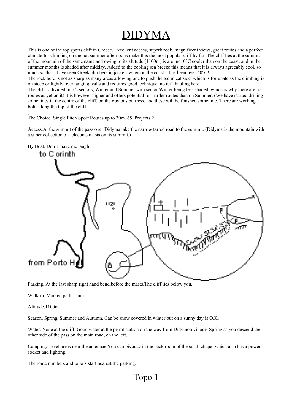# DIDYMA

This is one of the top sports cliff in Greece. Excellent access, superb rock, magnificent views, great routes and a perfect climate for climbing on the hot summer afternoons make this the most popular cliff by far. The cliff lies at the summit of the mountain of the same name and owing to its altitude (1100m) is around10°C cooler than on the coast, and in the summer months is shaded after midday. Added to the cooling sea breeze this means that it is always agreeably cool, so much so that I have seen Greek climbers in jackets when on the coast it has been over 40°C!

The rock here is not as sharp as many areas allowing one to push the technical side, which is fortunate as the climbing is on steep or lightly overhanging walls and requires good technique, no tufa hauling here.

The cliff is divided into 2 sectors, Winter and Summer with sector Winter being less shaded, which is why there are no routes as yet on it! It is however higher and offers potential for harder routes than on Summer. (We have started drilling some lines in the centre of the cliff, on the obvious buttress, and these will be finished sometime. There are working bolts along the top of the cliff.

)

The Choice. Single Pitch Sport Routes up to 30m. 65. Projects.2

Access.At the summit of the pass over Didyma take the narrow tarred road to the summit. (Didyma is the mountain with a super collection of telecoms masts on its summit.)



By Boat. Don´t make me laugh!

Parking. At the last sharp right hand bend,before the masts.The cliff lies below you.

Walk-in. Marked path.1 min.

Altitude.1100m

Season. Spring, Summer and Autumn. Can be snow covered in winter but on a sunny day is O.K.

Water. None at the cliff. Good water at the petrol station on the way from Didymon village. Spring as you descend the other side of the pass on the main road, on the left.

Camping. Level areas near the antennae.You can bivouac in the back room of the small chapel which also has a power socket and lighting.

The route numbers and topo´s start nearest the parking.

Topo 1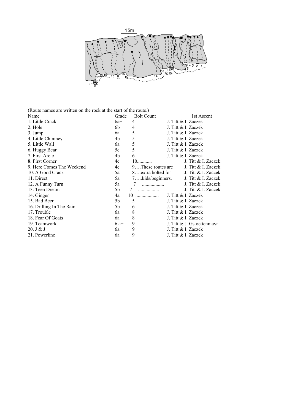

(Route names are written on the rock at the start of the route.)

| Name                      | Grade | <b>Bolt Count</b> | 1st Ascent                            |
|---------------------------|-------|-------------------|---------------------------------------|
| 1. Little Crack           | $6a+$ | 4                 | J. Titt & I. Zaczek                   |
| 2. Hole                   | 6b    | 4                 | J. Titt & I. Zaczek                   |
| $3.$ Jump                 | 6a    | 5                 | J. Titt & I. Zaczek                   |
| 4. Little Chimney         | 4b    | 5                 | J. Titt & I. Zaczek                   |
| 5. Little Wall            | 6a    | 5                 | J. Titt & I. Zaczek                   |
| 6. Huggy Bear             | 5c    | 5                 | J. Titt & I. Zaczek                   |
| 7. First Arete            | 4b    | 6                 | J. Titt & I. Zaczek                   |
| 8. First Corner           | 4c    | $10$              | J. Titt & I. Zaczek                   |
| 9. Here Comes The Weekend | 4c    | 9These routes are | J. Titt & I. Zaczek                   |
| 10. A Good Crack          | 5a    |                   | 8extra bolted for J. Titt & I. Zaczek |
| 11. Direct                | 5a    |                   | 7kids/beginners. J. Titt & I. Zaczek  |
| 12. A Funny Turn          | 5a    | .                 | J. Titt & I. Zaczek                   |
| 13. Teen Dream            | 5b    | 7                 | J. Titt & I. Zaczek                   |
| 14. Ginger                | 4a    | 10                | J. Titt & I. Zaczek                   |
| 15. Bad Beer              | 5b    | 5                 | J. Titt & I. Zaczek                   |
| 16. Drilling In The Rain  | 5b    | 6                 | J. Titt & I. Zaczek                   |
| 17. Trouble               | 6a    | 8                 | J. Titt & I. Zaczek                   |
| 18. Fear Of Goats         | 6a    | 8                 | J. Titt & I. Zaczek                   |
| 19. Teamwork              | $6a+$ | 9                 | J. Titt $&$ J. Gstoettenmayr          |
| 20. J & J                 | $6a+$ | 9                 | J. Titt & I. Zaczek                   |
| 21. Powerline             | 6a    | 9                 | J. Titt & I. Zaczek                   |
|                           |       |                   |                                       |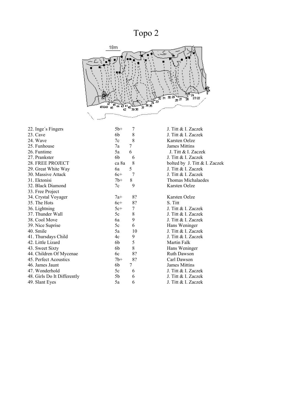Topo 2



| 22. Inge's Fingers          | $5b+$<br>7  | J. Titt & I. Zaczek           |
|-----------------------------|-------------|-------------------------------|
| 23. Cave                    | 8<br>6b     | J. Titt & I. Zaczek           |
| 24. Wave                    | 8<br>7c     | Karsten Oelze                 |
| 25. Funhouse                | 7<br>7a     | <b>James Mittins</b>          |
| 26. Funtime                 | 6<br>5a     | J. Titt & I. Zaczek           |
| 27. Prankster               | 6b<br>6     | J. Titt & I. Zaczek           |
| 28. FREE PROJECT            | 8<br>ca 8a  | bolted by J. Titt & I. Zaczek |
| 29. Great White Way         | 5<br>6a     | J. Titt & I. Zaczek           |
| 30. Massive Attack          | 7<br>$6c+$  | J. Titt & I. Zaczek           |
| 31. Ektonisi                | 8<br>$7b+$  | Thomas Michalaedes            |
| 32. Black Diamond           | 9<br>7c     | Karsten Oelze                 |
| 33. Free Project            |             |                               |
| 34. Crystal Voyager         | 8?<br>$7a+$ | Karsten Oelze                 |
| 35. The Hots                | $6c+$<br>8? | S. Titt                       |
| 36. Lightning               | 7<br>$5c+$  | J. Titt & I. Zaczek           |
| 37. Thunder Wall            | 8<br>5c     | J. Titt & I. Zaczek           |
| 38. Cool Move               | 9<br>6a     | J. Titt & I. Zaczek           |
| 39. Nice Suprise            | 6<br>5c     | Hans Weninger                 |
| 40. Smile                   | 10<br>5a    | J. Titt & I. Zaczek           |
| 41. Thursdays Child         | 9<br>4c     | J. Titt & I. Zaczek           |
| 42. Little Lizard           | 5<br>6b     | <b>Martin Falk</b>            |
| 43. Sweet Sixty             | 8<br>6b     | Hans Weninger                 |
| 44. Children Of Mycenae     | 8?<br>6c    | <b>Ruth Dawson</b>            |
| 45. Perfect Acoustics       | 8?<br>$7b+$ | Carl Dawson                   |
| 46. James Jaunt             | 7<br>6b     | <b>James Mittins</b>          |
| 47. Wonderhold              | 5c<br>6     | J. Titt & I. Zaczek           |
| 48. Girls Do It Differently | 5b<br>6     | J. Titt & I. Zaczek           |
| 49. Slant Eyes              | 6<br>5a     | J. Titt & I. Zaczek           |
|                             |             |                               |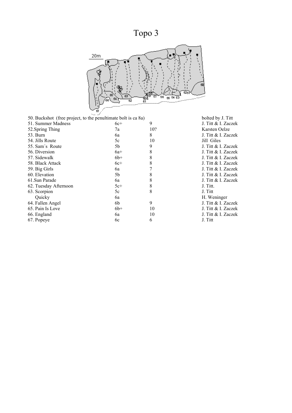# Topo 3



| 50. Buckshot (free project, to the penultimate bolt is ca 8a) |       |     | bolted by      |
|---------------------------------------------------------------|-------|-----|----------------|
| 51. Summer Madness                                            | $6c+$ | 9   | J. Titt $\&$ l |
| 52. Spring Thing                                              | 7a    | 10? | Karsten C      |
| 53. Burn                                                      | 6a    | 8   | J. Titt $\&$ l |
| 54. Jills Route                                               | 5c    | 10  | Jill Giles     |
| 55. Sam's Route                                               | 5b    | 9   | J. Titt $\&$ l |
| 56. Diversion                                                 | $6a+$ | 8   | J. Titt $\&$ l |
| 57. Sidewalk                                                  | $6b+$ | 8   | J. Titt $\&$ l |
| 58. Black Attack                                              | $6c+$ | 8   | J. Titt $\&$ l |
| 59. Big Girls                                                 | 6a    |     | J. Titt $\&$ l |
| 60. Elevation                                                 | 5b    | 8   | J. Titt $\&$ l |
| 61. Sun Parade                                                | 6a    | 8   | J. Titt $\&$ l |
| 62. Tuesday Afternoon                                         | $5c+$ | 8   | J. Titt.       |
| 63. Scorpion                                                  | 5c    | 8   | J. Titt        |
| Quicky                                                        | 6a    |     | H. Wenin       |
| 64. Fallen Angel                                              | 6b    | 9   | J. Titt $\&$ l |
| 65. Pain Is Love                                              | $6b+$ | 10  | J. Titt $\&$ l |
| 66. England                                                   | 6a    | 10  | J. Titt $\&$ l |
| 67. Popeye                                                    | 6c    | 6   | J. Titt        |
|                                                               |       |     |                |

bolted by J. Titt J. Titt & I. Zaczek Karsten Oelze J. Titt & I. Zaczek<br>Jill Giles J. Titt & I. Zaczek J. Titt & I. Zaczek J. Titt & I. Zaczek J. Titt & I. Zaczek J. Titt & I. Zaczek J. Titt & I. Zaczek J. Titt & I. Zaczek<br>J. Titt. H. Weninger J. Titt & I. Zaczek J. Titt & I. Zaczek J. Titt & I. Zaczek<br>J. Titt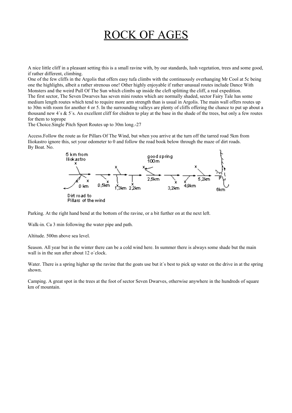# ROCK OF AGES

A nice little cliff in a pleasant setting this is a small ravine with, by our standards, lush vegetation, trees and some good, if rather different, climbing.

One of the few cliffs in the Argolis that offers easy tufa climbs with the continuously overhanging Mr Cool at 5c being one the highlights, albeit a rather strenous one! Other highly enjoyable if rather unusual routes include Dance With Monsters and the weird Pull Of The Sun which climbs up inside the cleft splitting the cliff, a real expedition. The first sector, The Seven Dwarves has seven mini routes which are normally shaded, sector Fairy Tale has some medium length routes which tend to require more arm strength than is usual in Argolis. The main wall offers routes up to 30m with room for another 4 or 5. In the surrounding valleys are plenty of cliffs offering the chance to put up about a thousand new 4´s & 5´s. An excellent cliff for chidren to play at the base in the shade of the trees, but only a few routes for them to toprope

The Choice.Single Pitch Sport Routes up to 30m long.-27

Access.Follow the route as for Pillars Of The Wind, but when you arrive at the turn off the tarred road 5km from Iliokastro ignore this, set your odometer to 0 and follow the road book below through the maze of dirt roads. By Boat. No.



Parking. At the right hand bend at the bottom of the ravine, or a bit further on at the next left.

Walk-in. Ca 3 min following the water pipe and path.

Altitude. 500m above sea level.

Season. All year but in the winter there can be a cold wind here. In summer there is always some shade but the main wall is in the sun after about 12 o'clock.

Water. There is a spring higher up the ravine that the goats use but it's best to pick up water on the drive in at the spring shown.

Camping. A great spot in the trees at the foot of sector Seven Dwarves, otherwise anywhere in the hundreds of square km of mountain.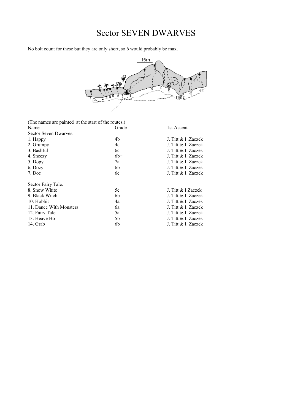# Sector SEVEN DWARVES

No bolt count for these but they are only short, so 6 would probably be max.



| (The names are painted at the start of the routes.) |       |                     |
|-----------------------------------------------------|-------|---------------------|
| Name                                                | Grade | 1st Ascent          |
| Sector Seven Dwarves.                               |       |                     |
| 1. Happy                                            | 4b    | J. Titt & I. Zaczek |
| 2. Grumpy                                           | 4c    | J. Titt & I. Zaczek |
| 3. Bashful                                          | 6c    | J. Titt & I. Zaczek |
| 4. Sneezy                                           | $6b+$ | J. Titt & I. Zaczek |
| 5. Dopy                                             | 7a    | J. Titt & I. Zaczek |
| 6, Dozy                                             | 6b    | J. Titt & I. Zaczek |
| 7. Doc                                              | 6c    | J. Titt & I. Zaczek |
| Sector Fairy Tale.                                  |       |                     |
| 8. Snow White                                       | $5c+$ | J. Titt & I Zaczek  |
| 9. Black Witch                                      | 6b    | J. Titt & I. Zaczek |
| 10. Hobbit                                          | 4a    | J. Titt & I. Zaczek |
| 11. Dance With Monsters                             | $6a+$ | J. Titt & I. Zaczek |
| 12. Fairy Tale                                      | 5a    | J. Titt & I. Zaczek |
| 13. Heave Ho                                        | 5b    | J. Titt & I. Zaczek |
| 14. Grab                                            | 6b    | J. Titt & I. Zaczek |
|                                                     |       |                     |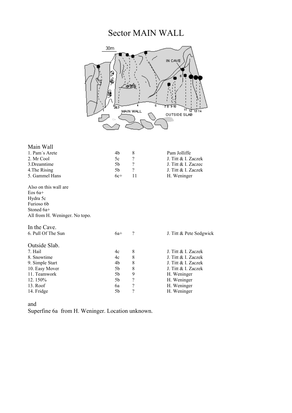# Sector MAIN WALL



| Main Wall                      |       |                          |                         |
|--------------------------------|-------|--------------------------|-------------------------|
| 1. Pam's Arete                 | 4b    | 8                        | Pam Jolliffe            |
| 2. Mr Cool                     | 5c    | $\overline{\mathcal{C}}$ | J. Titt & I. Zaczek     |
| 3. Dreamtime                   | 5b    | $\overline{\mathcal{L}}$ | J. Titt & I. Zaczec     |
| 4. The Rising                  | 5b    | $\overline{\mathcal{L}}$ | J. Titt & I. Zaczek     |
| 5. Gammel Hans                 | $6c+$ | 11                       | H. Weninger             |
| Also on this wall are          |       |                          |                         |
| $E$ os 6a+                     |       |                          |                         |
| Hydra 5c                       |       |                          |                         |
| Furioso 6b                     |       |                          |                         |
| Stoned 6a+                     |       |                          |                         |
| All from H. Weninger. No topo. |       |                          |                         |
| In the Cave.                   |       |                          |                         |
| 6. Pull Of The Sun             | $6a+$ | ?                        | J. Titt & Pete Sedgwick |
| Outside Slab.                  |       |                          |                         |
| 7. Hail                        | 4c    | 8                        | J. Titt & I. Zaczek     |
| 8. Snowtime                    | 4c    | 8                        | J. Titt & I. Zaczek     |
| 9. Simple Start                | 4b    | 8                        | J. Titt & I. Zaczek     |
| 10. Easy Mover                 | 5b    | 8                        | J. Titt & I. Zaczek     |
| 11. Teamwork                   | 5b    | 9                        | H. Weninger             |
| 12.150%                        | 5b    | $\overline{\mathcal{L}}$ | H. Weninger             |
| 13. Roof                       | 6a    | $\overline{\mathcal{L}}$ | H. Weninger             |
| 14. Fridge                     | 5b    | $\overline{\mathcal{C}}$ | H. Weninger             |
|                                |       |                          |                         |

and

Superfine 6a from H. Weninger. Location unknown.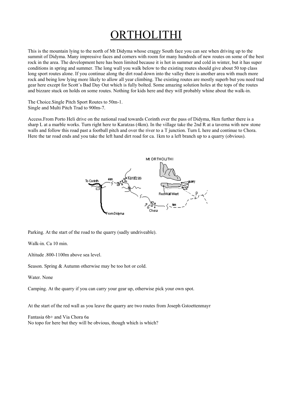# ORTHOLITHI

This is the mountain lying to the north of Mt Didyma whose craggy South face you can see when driving up to the summit of Didyma. Many impressive faces and corners with room for many hundreds of new routes on some of the best rock in the area. The development here has been limited because it is hot in summer and cold in winter, but it has super conditions in spring and summer. The long wall you walk below to the existing routes should give about 50 top class long sport routes alone. If you continue along the dirt road down into the valley there is another area with much more rock and being low lying more likely to allow all year climbing. The existing routes are mostly superb but you need trad gear here except for Scott´s Bad Day Out which is fully bolted. Some amazing solution holes at the tops of the routes and bizzare stuck on holds on some routes. Nothing for kids here and they will probably whine about the walk-in.

The Choice.Single Pitch Sport Routes to 50m-1. Single and Multi Pitch Trad to 900m-7.

Access.From Porto Heli drive on the national road towards Corinth over the pass of Didyma, 8km further there is a sharp L at a marble works. Turn right here to Karatzas (4km). In the village take the 2nd R at a taverna with new stone walls and follow this road past a football pitch and over the river to a T junction. Turn L here and continue to Chora. Here the tar road ends and you take the left hand dirt road for ca. 1km to a left branch up to a quarry (obvious).



Parking. At the start of the road to the quarry (sadly undriveable).

Walk-in. Ca 10 min.

Altitude .800-1100m above sea level.

Season. Spring & Autumn otherwise may be too hot or cold.

Water. None

Camping. At the quarry if you can carry your gear up, otherwise pick your own spot.

At the start of the red wall as you leave the quarry are two routes from Joseph Gstoettenmayr

Fantasia 6b+ and Via Chora 6a No topo for here but they will be obvious, though which is which?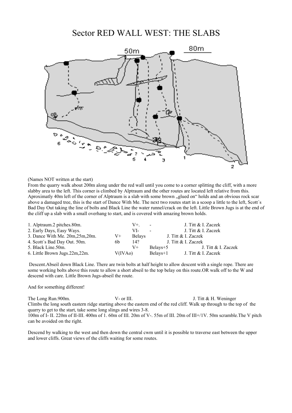### Sector RED WALL WEST: THE SLABS



(Names NOT written at the start)

From the quarry walk about 200m along under the red wall until you come to a corner splitting the cliff, with a more slabby area to the left. This corner is climbed by Alptraum and the other routes are located left relative from this. Aproximatly 40m left of the corner of Alptraum is a slab with some brown "glued on" holds and an obvious rock scar above a damaged tree, this is the start of Dance With Me. The next two routes start in a scoop a little to the left, Scott´s Bad Day Out taking the line of bolts and Black Line the water runnel/crack on the left. Little Brown Jugs is at the end of the cliff up a slab with a small overhang to start, and is covered with amazing brown holds.

| 1. Alptraum.2 pitches.80m.       |                      | V+            | $\sim$                   | J. Titt & I. Zaczek |
|----------------------------------|----------------------|---------------|--------------------------|---------------------|
| 2. Early Days, Easy Ways.        |                      | VI-           | $\overline{\phantom{a}}$ | J. Titt & I. Zaczek |
| 3. Dance With Me. 20m, 25m, 20m. | V+                   | <b>Belays</b> |                          | J. Titt & I. Zaczek |
| 4. Scott's Bad Day Out. 50m.     | 6b                   | 14?           |                          | J. Titt & I. Zaczek |
| 5. Black Line.50m.               |                      | V+            | Belays+5                 | J. Titt & I. Zaczek |
| 6. Little Brown Jugs.22m,22m.    | V(IVA <sub>o</sub> ) |               | Belays+1                 | J. Titt & I. Zaczek |

 Descent.Abseil down Black Line. There are twin bolts at half height to allow descent with a single rope. There are some working bolts above this route to allow a short abseil to the top belay on this route.OR walk off to the W and descend with care. Little Brown Jugs-abseil the route.

#### And for something different!

The Long Run.900m. V- or III. Sample 1. Titt & H. Weninger Climbs the long south eastern ridge starting above the eastern end of the red cliff. Walk up through to the top of the quarry to get to the start, take some long slings and wires 3-8.

100m of I- II. 220m of II-III. 400m of 1. 60m of III. 20m of V-. 55m of III. 20m of III+/1V. 50m scramble.The V pitch can be avoided on the right.

Descend by walking to the west and then down the central cwm until it is possible to traverse east between the upper and lower cliffs. Great views of the cliffs waiting for some routes.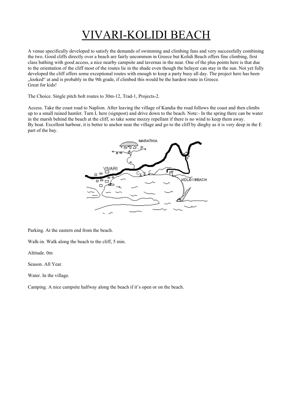# VIVARI-KOLIDI BEACH

A venue specifically developed to satisfy the demands of swimming and climbing fans and very successfully combining the two. Good cliffs directly over a beach are fairly uncommon in Greece but Kolidi Beach offers fine climbing, first class bathing with good access, a nice nearby campsite and tavernas in the near. One of the plus points here is that due to the orientation of the cliff most of the routes lie in the shade even though the belayer can stay in the sun. Not yet fully developed the cliff offers some exceptional routes with enough to keep a party busy all day. The project here has been "looked" at and is probably in the 9th grade, if climbed this would be the hardest route in Greece. Great for kids!

The Choice. Single pitch bolt routes to 30m-12, Trad-1, Projects-2.

Access. Take the coast road to Naplion. After leaving the village of Kandia the road follows the coast and then climbs up to a small ruined hamlet. Turn L here (signpost) and drive down to the beach. Note:- In the spring there can be water in the marsh behind the beach at the cliff, so take some mozzy repellant if there is no wind to keep them away. By boat. Excellent harbour, it is better to anchor near the village and go to the cliff by dinghy as it is very deep in the E part of the bay.



Parking. At the eastern end from the beach.

Walk-in. Walk along the beach to the cliff, 5 min.

Altitude. 0m

Season. All Year.

Water. In the village.

Camping. A nice campsite halfway along the beach if it's open or on the beach.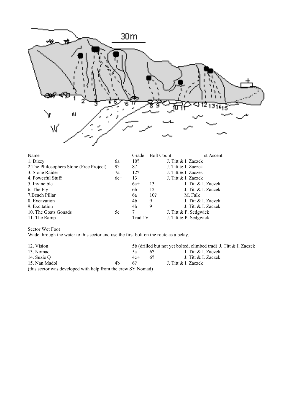

| Name                                     |       | Grade   | <b>Bolt Count</b> |                       | 1st Ascent          |
|------------------------------------------|-------|---------|-------------------|-----------------------|---------------------|
| 1. Dizzy                                 | $6a+$ | 10?     |                   | J. Titt & I. Zaczek   |                     |
| 2. The Philosophers Stone (Free Project) | 9?    | 8?      |                   | J. Titt & I, Zaczek   |                     |
| 3. Stone Raider                          | 7a    | 12?     |                   | J. Titt & I. Zaczek   |                     |
| 4. Powerful Stuff                        | $6c+$ | 13      |                   | J. Titt & I. Zaczek   |                     |
| 5. Invincible                            |       | $6a+$   | 13                |                       | J. Titt & I. Zaczek |
| 6. The Fly                               |       | 6b      | 12                |                       | J. Titt & I. Zaczek |
| 7. Beach Pillar                          |       | 6a      | 10?               |                       | M. Falk             |
| 8. Excavation                            |       | 4b      | 9                 |                       | J. Titt & I. Zaczek |
| 9. Excitation                            |       | 4b      | 9                 |                       | J. Titt & I. Zaczek |
| 10. The Goats Gonads                     | $5c+$ | 7       |                   | J. Titt & P. Sedgwick |                     |
| 11. The Ramp                             |       | Trad 1V |                   | J. Titt & P. Sedgwick |                     |

Sector Wet Foot

Wade through the water to this sector and use the first bolt on the route as a belay.

12. Vision 5b (drilled but not yet bolted, climbed trad) J. Titt & I. Zaczek 13. Nomad 5a 6? J. Titt & I. Zaczek 14. Suzie Q<br>
14. Suzie Q<br>
16. Nan Madol<br>
16. Nan Madol<br>
16. Nan Madol<br>
16. Nan Madol<br>
16. Nan Madol<br>
16. Nan Madol<br>
16. Nan Madol<br>
16. Nan Madol<br>
16. Nan Madol<br>
16. Nan Madol<br>
16. Nan Madol<br>
16. Nan Madol<br>
16. Nan Madol<br>
1 4b 6? J. Titt & I. Zaczek (this sector was developed with help from the crew SY Nomad)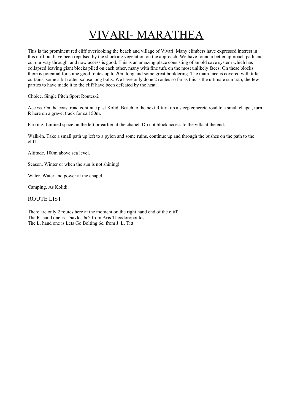# VIVARI- MARATHEA

This is the prominent red cliff overlooking the beach and village of Vivari. Many climbers have expressed interest in this cliff but have been repulsed by the shocking vegetation on the approach. We have found a better approach path and cut our way through, and now access is good. This is an amazing place consisting of an old cave system which has collapsed leaving giant blocks piled on each other, many with fine tufa on the most unlikely faces. On these blocks there is potential for some good routes up to 20m long and some great bouldering. The main face is covered with tufa curtains, some a bit rotten so use long bolts. We have only done 2 routes so far as this is the ultimate sun trap, the few parties to have made it to the cliff have been defeated by the heat.

Choice. Single Pitch Sport Routes-2

Access. On the coast road continue past Kolidi Beach to the next R turn up a steep concrete road to a small chapel, turn R here on a gravel track for ca.150m.

Parking. Limited space on the left or earlier at the chapel. Do not block access to the villa at the end.

Walk-in. Take a small path up left to a pylon and some ruins, continue up and through the bushes on the path to the cliff.

Altitude. 100m above sea level.

Season. Winter or when the sun is not shining!

Water. Water and power at the chapel.

Camping. As Kolidi.

### ROUTE LIST

There are only 2 routes here at the moment on the right hand end of the cliff. The R. hand one is Diavlos 6c? from Aris Theodoropoulos The L. hand one is Lets Go Bolting 6c. from J. L. Titt.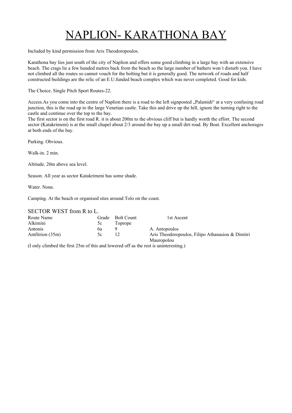# NAPLION- KARATHONA BAY

Included by kind permission from Aris Theodoropoulos.

Karathona bay lies just south of the city of Naplion and offers some good climbing in a large bay with an extensive beach. The crags lie a few hunded metres back from the beach so the large number of bathers won´t disturb you. I have not climbed all the routes so cannot vouch for the bolting but it is generally good. The network of roads and half constructed buildings are the relic of an E.U.funded beach complex which was never completed. Good for kids.

The Choice. Single Pitch Sport Routes-22.

Access.As you come into the centre of Naplion there is a road to the left signposted . Palamidi" at a very confusing road junction, this is the road up to the large Venetian castle. Take this and drive up the hill, ignore the turning right to the castle and continue over the top to the bay.

The first sector is on the first road R. it is about 200m to the obvious cliff but is hardly worth the effort. The second sector (Katakrimeni) is at the small chapel about 2/3 around the bay up a small dirt road. By Boat. Excellent anchorages at both ends of the bay.

Parking. Obvious.

Walk-in. 2 min.

Altitude. 20m above sea level.

Season. All year as sector Katakrimeni has some shade.

Water. None.

Camping. At the beach or organised sites around Tolo on the coast.

SECTOR WEST from R to L.

| Route Name      |    | Grade Bolt Count | 1st Ascent                                       |
|-----------------|----|------------------|--------------------------------------------------|
| Alkimini        | 5c | Toprope          |                                                  |
| Antonis         | bа |                  | A. Antopoulos                                    |
| Amfitrion (35m) | 5c |                  | Aris Theodoropoulos, Filipo Athanasiou & Dimitri |
|                 |    |                  | Mauropolou                                       |

(I only climbed the first 25m of this and lowered off as the rest is uninteresting.)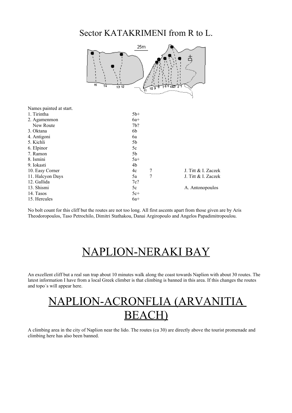### Sector KATAKRIMENI from R to L.



No bolt count for this cliff but the routes are not too long. All first ascents apart from those given are by Aris Theodoropoulos, Taso Petrochilo, Dimitri Stathakou, Danai Argiropoulo and Angelos Papadimitropoulou.

# NAPLION-NERAKI BAY

An excellent cliff but a real sun trap about 10 minutes walk along the coast towards Naplion with about 30 routes. The latest information I have from a local Greek climber is that climbing is banned in this area. If this changes the routes and topo´s will appear here.



A climbing area in the city of Naplion near the lido. The routes (ca 30) are directly above the tourist promenade and climbing here has also been banned.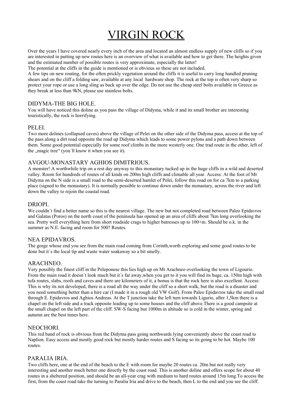# VIRGIN ROCK

Over the years I have covered nearly every inch of the area and located an almost endless supply of new cliffs so if you are interested in putting up new routes here is an overview of what is available and how to get there. The heights given and the estimated number of possible routes is very approximate, especially the latter!

The potential at the cliffs in the guide is mentioned or is obvious so these are not included.

A few tips on new routing, for the often prickly vegetation around the cliffs it is useful to carry long handled pruning shears and on the cliff a folding saw, available at any local hardware shop. The rock at the top is often very sharp so protect your rope or use a long sling as back up over the edge. Do not use the cheap steel bolts available in Greece as they break at less than 9kN, please use stainless bolts.

### DIDYMA-THE BIG HOLE.

You will have noticed this doline as you pass the village of Didyma, while it and its small brother are interesting touristically, the rock is horrifying.

### PELEI.

Two more dolines (collapsed caves) above the village of Pelei on the other side of the Didyma pass, access at the top of the pass along a dirt road opposite the road up Didyma which leads to some power pylons and a path down between them. Some good potential especially for some roof climbs in the more westerly one. One trad route in the other, left of the "magic tree" (you'll know it when you see it).

### AVGOU-MONASTARY AGHIOS DIMITRIOUS.

A monster! A worthwhile trip on a rest day anyway to this monastary tucked up in the huge cliffs in a wild and deserted valley. Room for hundreds of routes of all kinds on 200m high cliffs and climable all year. Access: At the foot of Mt Didyma on the N side is a small road to the semi-deserted hamlet of Pelei, follow this road on for ca 7km to a parking place (signed to the monastary). It is normally possible to continue down under the monastary, across the river and left down the valley to rejoin the coastal road.

### DRIOPI.

We couldn't find a better name so this is the nearest village. The new but not completed road between Paleo Epidavros and Galatas (Poros) on the north coast of the peninsula has opened up an area of cliffs about 7km long overlooking the sea. Pretty well everything here from short roadside crags to higher butresses up to 100+m. Should be o.k. in the summer as N.E. facing and room for 500? Routes.

### NEA EPIDAVROS.

The gorge whose end you see from the main road coming from Corinth,worth exploring and some good routes to be done but it´s the local tip and waste water soakaway so a bit smelly.

### ARACHNEO.

Very possibly the finest cliff in the Peleponese this lies high up on Mt Arachneo overlooking the town of Ligourio. From the main road it doesn´t look much but it´s far away,when you get to it you will find its huge, ca. 150m high with tufa routes, slabs, roofs and caves and there are kilometers of it, a bonus is that the rock here is also excellent. Access: This is why its not developed, there is a road all the way under the cliff so a short walk, but the road is a disaster and you need something better than a hire car (I made it in a rough old VW Golf). From Paleo Epidavros take the small road through E. Epidavros and Aghios Andreas. At the T junction take the left turn towards Ligurio, after 1,5km there is a chapel on the left side and a track opposite leading up to some houses and the cliff above.There is a good campsite at the small chapel on the left part of the cliff. SW-S facing but 1000m in altitude so is cold in the winter, spring and autumn are the best times here.

### **NEOCHORI**

This red band of rock is obvious from the Didyma pass going northwards lying conveniently above the coast road to Naplion. Easy access and mostly good rock but mostly harder routes and S facing so its going to be hot. Maybe 100 routes.

### PARALIA IRIA.

Two cliffs here, one at the end of the beach to the E with room for maybe 20 routes ca. 20m but not really very interesting and another much better one directly by the coast road. This is another doline and offers scope for about 40 routes in a sheltered position, and should be an all-year crag with medium to hard routes around 15m long.To access the first, from the coast road take the turning to Paralia Iria and drive to the beach, then L to the end and you see the cliff.